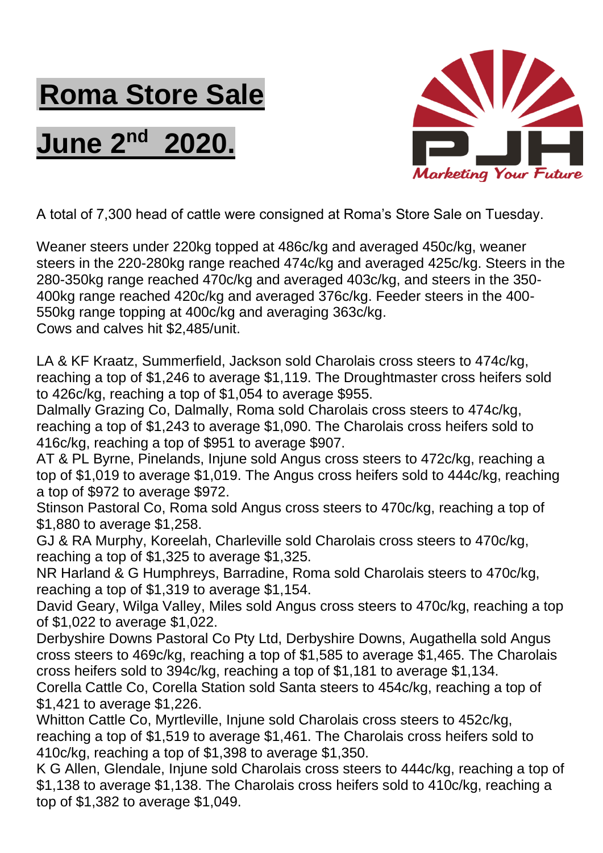## **Roma Store Sale**

## **June 2nd 2020.**



A total of 7,300 head of cattle were consigned at Roma's Store Sale on Tuesday.

Weaner steers under 220kg topped at 486c/kg and averaged 450c/kg, weaner steers in the 220-280kg range reached 474c/kg and averaged 425c/kg. Steers in the 280-350kg range reached 470c/kg and averaged 403c/kg, and steers in the 350- 400kg range reached 420c/kg and averaged 376c/kg. Feeder steers in the 400- 550kg range topping at 400c/kg and averaging 363c/kg. Cows and calves hit \$2,485/unit.

LA & KF Kraatz, Summerfield, Jackson sold Charolais cross steers to 474c/kg, reaching a top of \$1,246 to average \$1,119. The Droughtmaster cross heifers sold to 426c/kg, reaching a top of \$1,054 to average \$955.

Dalmally Grazing Co, Dalmally, Roma sold Charolais cross steers to 474c/kg, reaching a top of \$1,243 to average \$1,090. The Charolais cross heifers sold to 416c/kg, reaching a top of \$951 to average \$907.

AT & PL Byrne, Pinelands, Injune sold Angus cross steers to 472c/kg, reaching a top of \$1,019 to average \$1,019. The Angus cross heifers sold to 444c/kg, reaching a top of \$972 to average \$972.

Stinson Pastoral Co, Roma sold Angus cross steers to 470c/kg, reaching a top of \$1,880 to average \$1,258.

GJ & RA Murphy, Koreelah, Charleville sold Charolais cross steers to 470c/kg, reaching a top of \$1,325 to average \$1,325.

NR Harland & G Humphreys, Barradine, Roma sold Charolais steers to 470c/kg, reaching a top of \$1,319 to average \$1,154.

David Geary, Wilga Valley, Miles sold Angus cross steers to 470c/kg, reaching a top of \$1,022 to average \$1,022.

Derbyshire Downs Pastoral Co Pty Ltd, Derbyshire Downs, Augathella sold Angus cross steers to 469c/kg, reaching a top of \$1,585 to average \$1,465. The Charolais cross heifers sold to 394c/kg, reaching a top of \$1,181 to average \$1,134.

Corella Cattle Co, Corella Station sold Santa steers to 454c/kg, reaching a top of \$1,421 to average \$1,226.

Whitton Cattle Co, Myrtleville, Injune sold Charolais cross steers to 452c/kg, reaching a top of \$1,519 to average \$1,461. The Charolais cross heifers sold to 410c/kg, reaching a top of \$1,398 to average \$1,350.

K G Allen, Glendale, Injune sold Charolais cross steers to 444c/kg, reaching a top of \$1,138 to average \$1,138. The Charolais cross heifers sold to 410c/kg, reaching a top of \$1,382 to average \$1,049.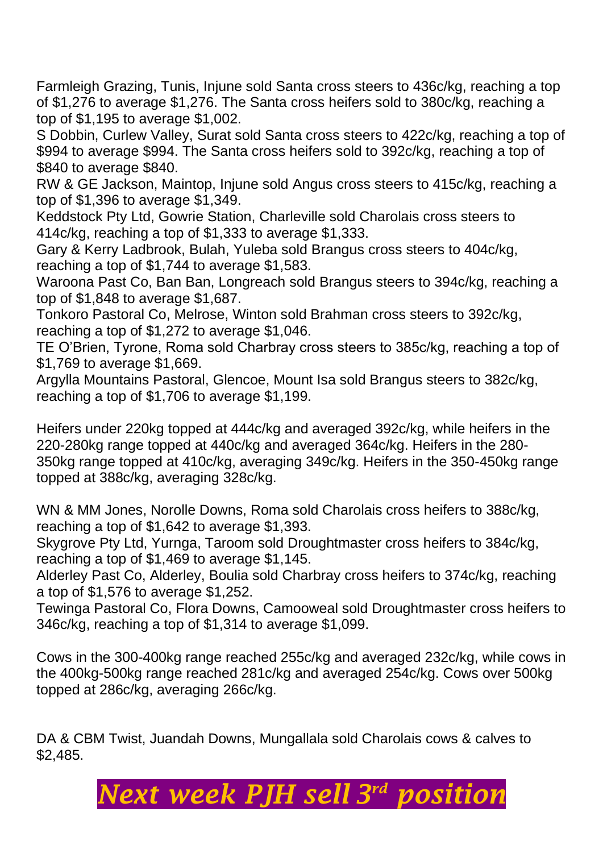Farmleigh Grazing, Tunis, Injune sold Santa cross steers to 436c/kg, reaching a top of \$1,276 to average \$1,276. The Santa cross heifers sold to 380c/kg, reaching a top of \$1,195 to average \$1,002.

S Dobbin, Curlew Valley, Surat sold Santa cross steers to 422c/kg, reaching a top of \$994 to average \$994. The Santa cross heifers sold to 392c/kg, reaching a top of \$840 to average \$840.

RW & GE Jackson, Maintop, Injune sold Angus cross steers to 415c/kg, reaching a top of \$1,396 to average \$1,349.

Keddstock Pty Ltd, Gowrie Station, Charleville sold Charolais cross steers to 414c/kg, reaching a top of \$1,333 to average \$1,333.

Gary & Kerry Ladbrook, Bulah, Yuleba sold Brangus cross steers to 404c/kg, reaching a top of \$1,744 to average \$1,583.

Waroona Past Co, Ban Ban, Longreach sold Brangus steers to 394c/kg, reaching a top of \$1,848 to average \$1,687.

Tonkoro Pastoral Co, Melrose, Winton sold Brahman cross steers to 392c/kg, reaching a top of \$1,272 to average \$1,046.

TE O'Brien, Tyrone, Roma sold Charbray cross steers to 385c/kg, reaching a top of \$1,769 to average \$1,669.

Argylla Mountains Pastoral, Glencoe, Mount Isa sold Brangus steers to 382c/kg, reaching a top of \$1,706 to average \$1,199.

Heifers under 220kg topped at 444c/kg and averaged 392c/kg, while heifers in the 220-280kg range topped at 440c/kg and averaged 364c/kg. Heifers in the 280- 350kg range topped at 410c/kg, averaging 349c/kg. Heifers in the 350-450kg range topped at 388c/kg, averaging 328c/kg.

WN & MM Jones, Norolle Downs, Roma sold Charolais cross heifers to 388c/kg, reaching a top of \$1,642 to average \$1,393.

Skygrove Pty Ltd, Yurnga, Taroom sold Droughtmaster cross heifers to 384c/kg, reaching a top of \$1,469 to average \$1,145.

Alderley Past Co, Alderley, Boulia sold Charbray cross heifers to 374c/kg, reaching a top of \$1,576 to average \$1,252.

Tewinga Pastoral Co, Flora Downs, Camooweal sold Droughtmaster cross heifers to 346c/kg, reaching a top of \$1,314 to average \$1,099.

Cows in the 300-400kg range reached 255c/kg and averaged 232c/kg, while cows in the 400kg-500kg range reached 281c/kg and averaged 254c/kg. Cows over 500kg topped at 286c/kg, averaging 266c/kg.

DA & CBM Twist, Juandah Downs, Mungallala sold Charolais cows & calves to \$2,485.